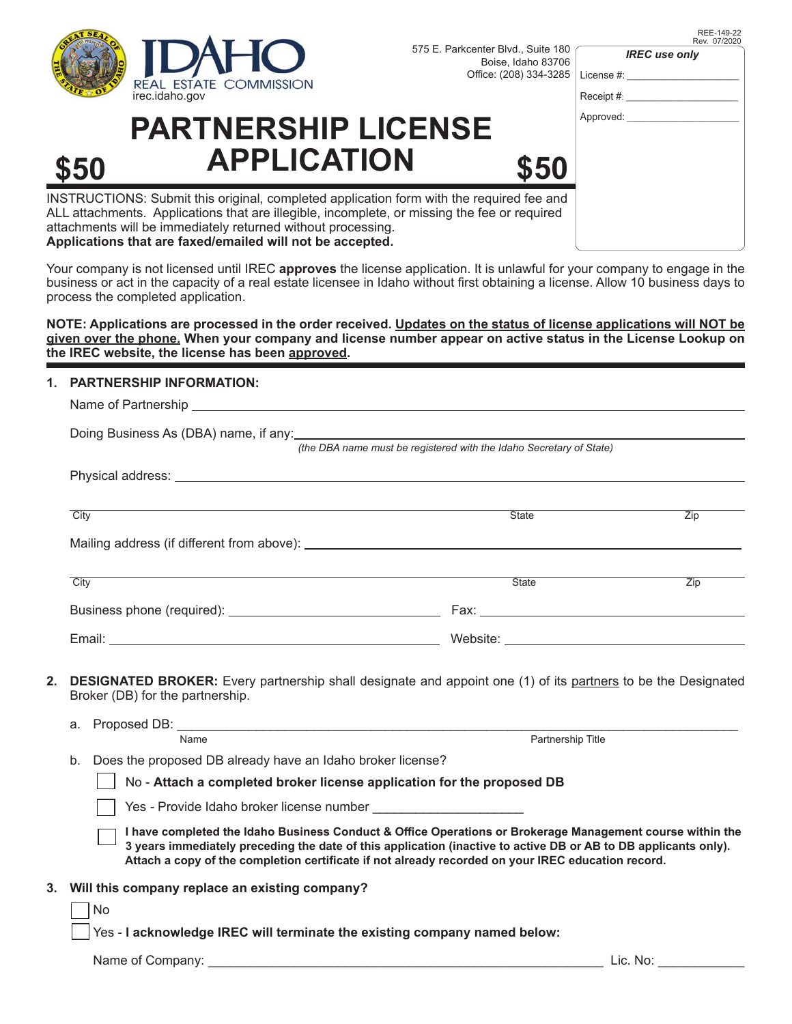

575 E. Parkcenter Blvd., Suite 180 Boise, Idaho 83706 Office: (208) 334-3285

REE-149-22 Rev. 07/2020

| <b>IREC</b> use only |
|----------------------|
|----------------------|

| Receipt #: |
|------------|
|            |
| Approved:  |

License #:

## **PARTNERSHIP LICENSE \$50 APPLICATION \$50**

INSTRUCTIONS: Submit this original, completed application form with the required fee and ALL attachments. Applications that are illegible, incomplete, or missing the fee or required attachments will be immediately returned without processing. **Applications that are faxed/emailed will not be accepted.**

Your company is not licensed until IREC **approves** the license application. It is unlawful for your company to engage in the business or act in the capacity of a real estate licensee in Idaho without first obtaining a license. Allow 10 business days to process the completed application.

**NOTE: Applications are processed in the order received. Updates on the status of license applications will NOT be given over the phone. When your company and license number appear on active status in the License Lookup on the IREC website, the license has been approved.** 

## **1. PARTNERSHIP INFORMATION:**

| (the DBA name must be registered with the Idaho Secretary of State)                                                                                            |                                                               |                  |  |  |
|----------------------------------------------------------------------------------------------------------------------------------------------------------------|---------------------------------------------------------------|------------------|--|--|
|                                                                                                                                                                |                                                               |                  |  |  |
|                                                                                                                                                                |                                                               |                  |  |  |
| City                                                                                                                                                           | <b>State</b>                                                  | Zip              |  |  |
|                                                                                                                                                                |                                                               |                  |  |  |
| City                                                                                                                                                           | State                                                         | $\overline{Zip}$ |  |  |
|                                                                                                                                                                |                                                               |                  |  |  |
|                                                                                                                                                                |                                                               |                  |  |  |
| 2.<br><b>DESIGNATED BROKER:</b> Every partnership shall designate and appoint one (1) of its partners to be the Designated<br>Broker (DB) for the partnership. |                                                               |                  |  |  |
|                                                                                                                                                                |                                                               |                  |  |  |
| Name<br>Partnership Title                                                                                                                                      |                                                               |                  |  |  |
|                                                                                                                                                                | b. Does the proposed DB already have an Idaho broker license? |                  |  |  |
| No - Attach a completed broker license application for the proposed DB                                                                                         |                                                               |                  |  |  |

Yes *-* Provide Idaho broker license number \_\_\_\_\_\_\_\_\_\_\_\_\_\_\_\_\_\_\_\_\_

- **I have completed the Idaho Business Conduct & Office Operations or Brokerage Management course within the 3 years immediately preceding the date of this application (inactive to active DB or AB to DB applicants only).** Attach a copy of the completion certificate if not already recorded on your IREC education record.
- **3. Will this company replace an existing company?**

No

Yes - **I acknowledge IREC will terminate the existing company named below:**

Name of Company: example of Company: the set of the set of the set of the set of the set of the set of the set of the set of the set of the set of the set of the set of the set of the set of the set of the set of the set o